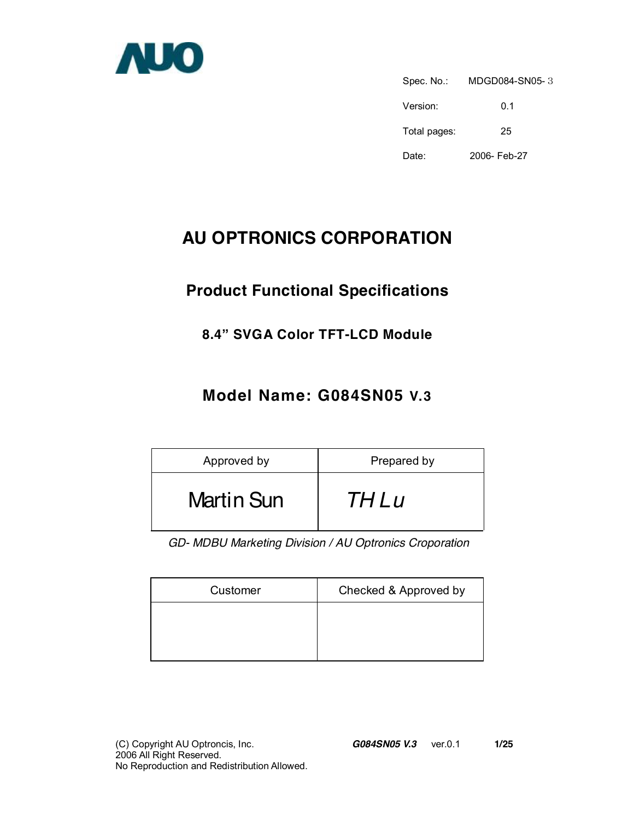

Spec. No.: MDGD084-SN05-3 Version: 0.1 Total pages: 25 Date: 2006- Feb-27

# **AU OPTRONICS CORPORATION**

# **Product Functional Specifications**

### **8.4" SVGA Color TFT-LCD Module**

### **Model Name: G084SN05 V.3**

| Approved by       | Prepared by |
|-------------------|-------------|
| <b>Martin Sun</b> | <i>THLu</i> |

*GD- MDBU Marketing Division / AU Optronics Croporation* 

| Customer | Checked & Approved by |
|----------|-----------------------|
|          |                       |
|          |                       |
|          |                       |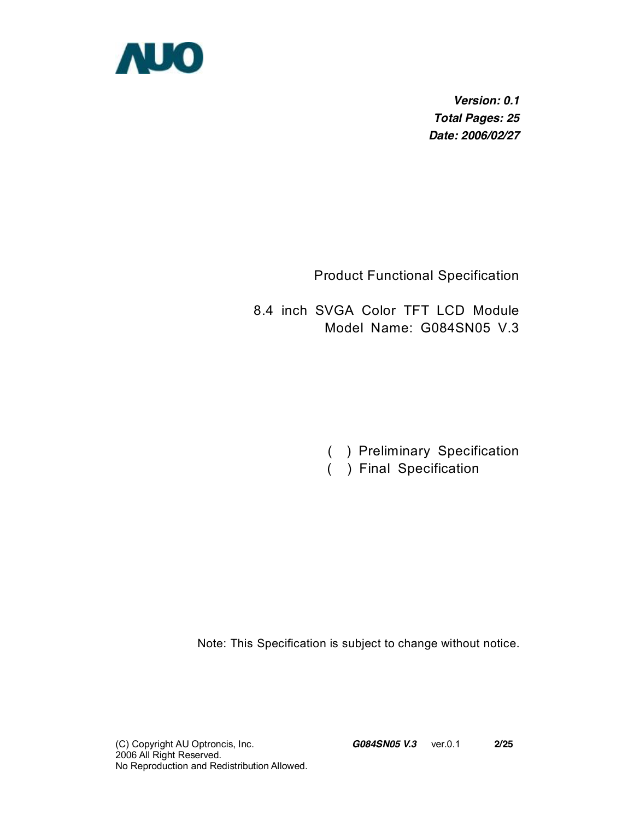

*Version: 0.1 Total Pages: 25 Date: 2006/02/27* 

Product Functional Specification

8.4 inch SVGA Color TFT LCD Module Model Name: G084SN05 V.3

- ( ) Preliminary Specification
- ( ) Final Specification

Note: This Specification is subject to change without notice.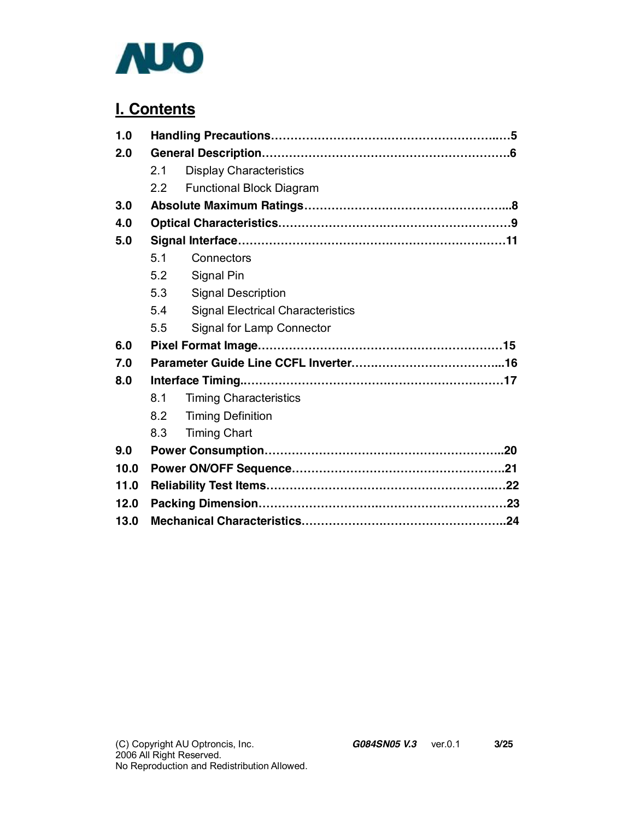

### **I. Contents**

| 1.0  |     |                                          |  |  |
|------|-----|------------------------------------------|--|--|
| 2.0  |     |                                          |  |  |
|      | 2.1 | <b>Display Characteristics</b>           |  |  |
|      | 22  | <b>Functional Block Diagram</b>          |  |  |
| 3.0  |     |                                          |  |  |
| 4.0  |     |                                          |  |  |
| 5.0  |     |                                          |  |  |
|      | 5.1 | Connectors                               |  |  |
|      | 5.2 | Signal Pin                               |  |  |
|      | 5.3 | <b>Signal Description</b>                |  |  |
|      | 5.4 | <b>Signal Electrical Characteristics</b> |  |  |
|      | 5.5 | Signal for Lamp Connector                |  |  |
| 6.0  |     |                                          |  |  |
| 7.0  |     |                                          |  |  |
| 8.0  |     |                                          |  |  |
|      | 8.1 | <b>Timing Characteristics</b>            |  |  |
|      | 8.2 | <b>Timing Definition</b>                 |  |  |
|      | 8.3 | <b>Timing Chart</b>                      |  |  |
| 9.0  |     |                                          |  |  |
| 10.0 |     |                                          |  |  |
| 11.0 |     |                                          |  |  |
| 12.0 |     |                                          |  |  |
| 13.0 |     |                                          |  |  |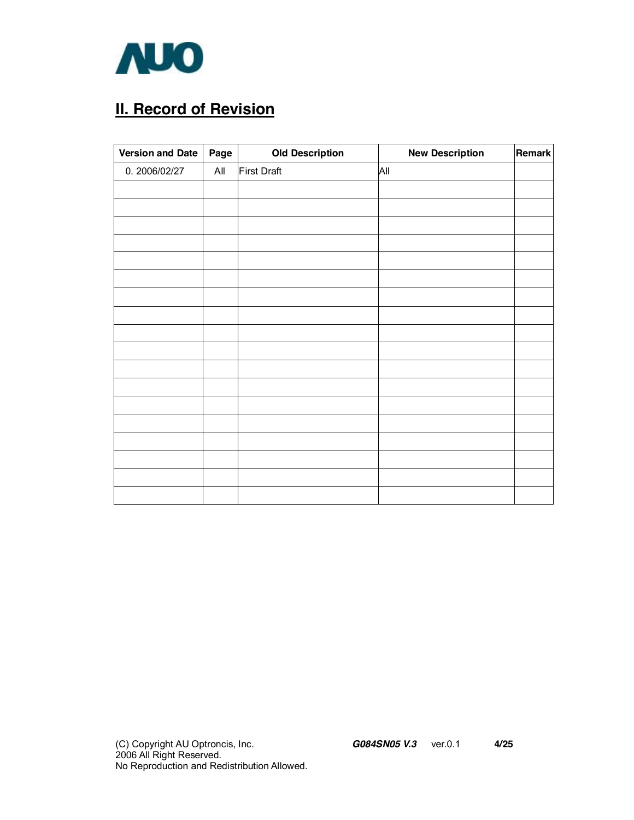

# **II. Record of Revision**

| <b>Version and Date</b> | Page | <b>Old Description</b> | <b>New Description</b> | Remark |
|-------------------------|------|------------------------|------------------------|--------|
| 0.2006/02/27            | All  | <b>First Draft</b>     | All                    |        |
|                         |      |                        |                        |        |
|                         |      |                        |                        |        |
|                         |      |                        |                        |        |
|                         |      |                        |                        |        |
|                         |      |                        |                        |        |
|                         |      |                        |                        |        |
|                         |      |                        |                        |        |
|                         |      |                        |                        |        |
|                         |      |                        |                        |        |
|                         |      |                        |                        |        |
|                         |      |                        |                        |        |
|                         |      |                        |                        |        |
|                         |      |                        |                        |        |
|                         |      |                        |                        |        |
|                         |      |                        |                        |        |
|                         |      |                        |                        |        |
|                         |      |                        |                        |        |
|                         |      |                        |                        |        |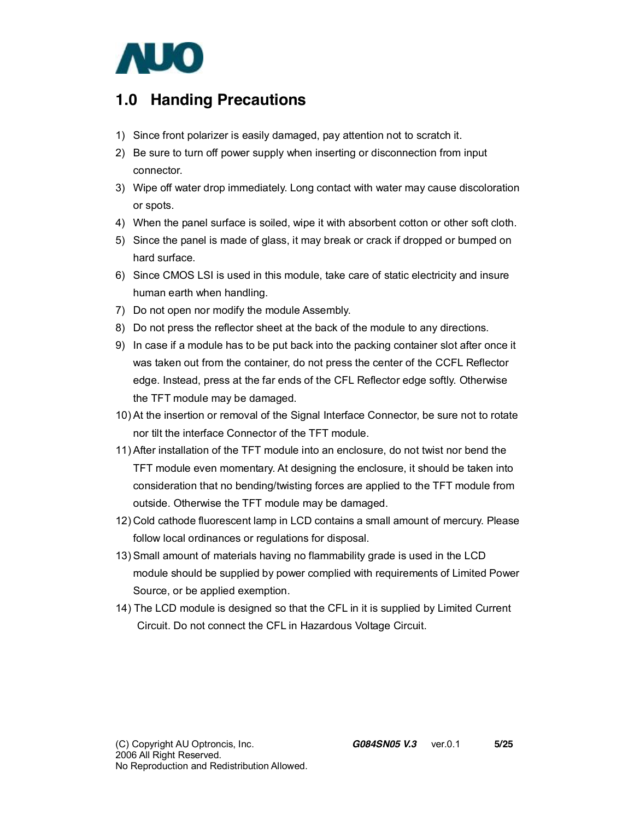

### **1.0 Handing Precautions**

- 1) Since front polarizer is easily damaged, pay attention not to scratch it.
- 2) Be sure to turn off power supply when inserting or disconnection from input connector.
- 3) Wipe off water drop immediately. Long contact with water may cause discoloration or spots.
- 4) When the panel surface is soiled, wipe it with absorbent cotton or other soft cloth.
- 5) Since the panel is made of glass, it may break or crack if dropped or bumped on hard surface.
- 6) Since CMOS LSI is used in this module, take care of static electricity and insure human earth when handling.
- 7) Do not open nor modify the module Assembly.
- 8) Do not press the reflector sheet at the back of the module to any directions.
- 9) In case if a module has to be put back into the packing container slot after once it was taken out from the container, do not press the center of the CCFL Reflector edge. Instead, press at the far ends of the CFL Reflector edge softly. Otherwise the TFT module may be damaged.
- 10) At the insertion or removal of the Signal Interface Connector, be sure not to rotate nor tilt the interface Connector of the TFT module.
- 11) After installation of the TFT module into an enclosure, do not twist nor bend the TFT module even momentary. At designing the enclosure, it should be taken into consideration that no bending/twisting forces are applied to the TFT module from outside. Otherwise the TFT module may be damaged.
- 12) Cold cathode fluorescent lamp in LCD contains a small amount of mercury. Please follow local ordinances or regulations for disposal.
- 13) Small amount of materials having no flammability grade is used in the LCD module should be supplied by power complied with requirements of Limited Power Source, or be applied exemption.
- 14) The LCD module is designed so that the CFL in it is supplied by Limited Current Circuit. Do not connect the CFL in Hazardous Voltage Circuit.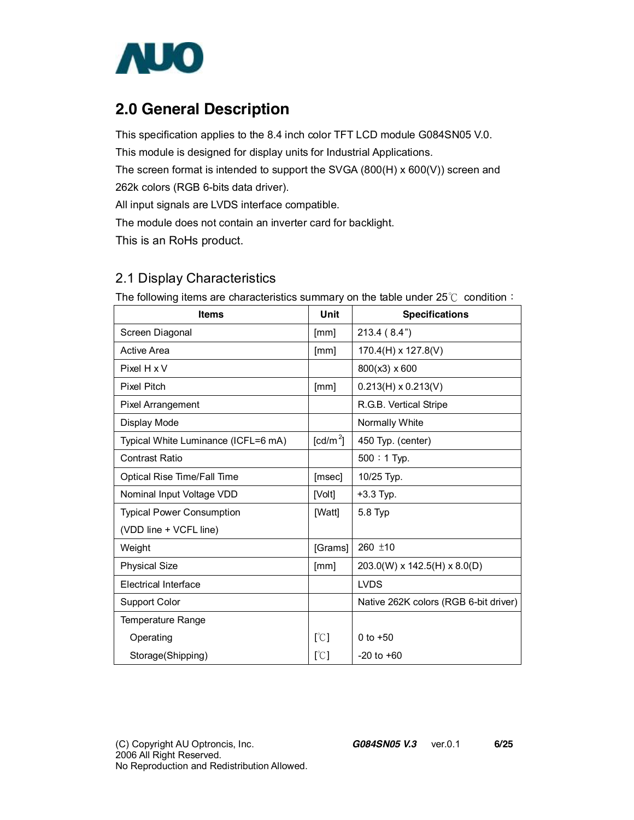

### **2.0 General Description**

This specification applies to the 8.4 inch color TFT LCD module G084SN05 V.0. This module is designed for display units for Industrial Applications. The screen format is intended to support the SVGA (800(H) x 600(V)) screen and 262k colors (RGB 6-bits data driver).

All input signals are LVDS interface compatible.

The module does not contain an inverter card for backlight.

This is an RoHs product.

### 2.1 Display Characteristics

| <b>Items</b>                        | Unit                 | <b>Specifications</b>                 |
|-------------------------------------|----------------------|---------------------------------------|
| Screen Diagonal                     | [mm]                 | 213.4(8.4")                           |
| <b>Active Area</b>                  | [mm]                 | 170.4(H) x 127.8(V)                   |
| Pixel H x V                         |                      | 800(x3) x 600                         |
| <b>Pixel Pitch</b>                  | [mm]                 | $0.213(H) \times 0.213(V)$            |
| Pixel Arrangement                   |                      | R.G.B. Vertical Stripe                |
| Display Mode                        |                      | Normally White                        |
| Typical White Luminance (ICFL=6 mA) | [cd/m <sup>2</sup> ] | 450 Typ. (center)                     |
| <b>Contrast Ratio</b>               |                      | $500:1$ Typ.                          |
| Optical Rise Time/Fall Time         | [msec]               | 10/25 Typ.                            |
| Nominal Input Voltage VDD           | [Volt]               | $+3.3$ Typ.                           |
| <b>Typical Power Consumption</b>    | [Watt]               | 5.8 Typ                               |
| (VDD line + VCFL line)              |                      |                                       |
| Weight                              | [Grams]              | 260 ±10                               |
| <b>Physical Size</b>                | [mm]                 | 203.0(W) x 142.5(H) x 8.0(D)          |
| <b>Electrical Interface</b>         |                      | <b>LVDS</b>                           |
| Support Color                       |                      | Native 262K colors (RGB 6-bit driver) |
| Temperature Range                   |                      |                                       |
| Operating                           | [°C]                 | 0 to $+50$                            |
| Storage(Shipping)                   | [°C]                 | $-20$ to $+60$                        |

The following items are characteristics summary on the table under 25℃ condition: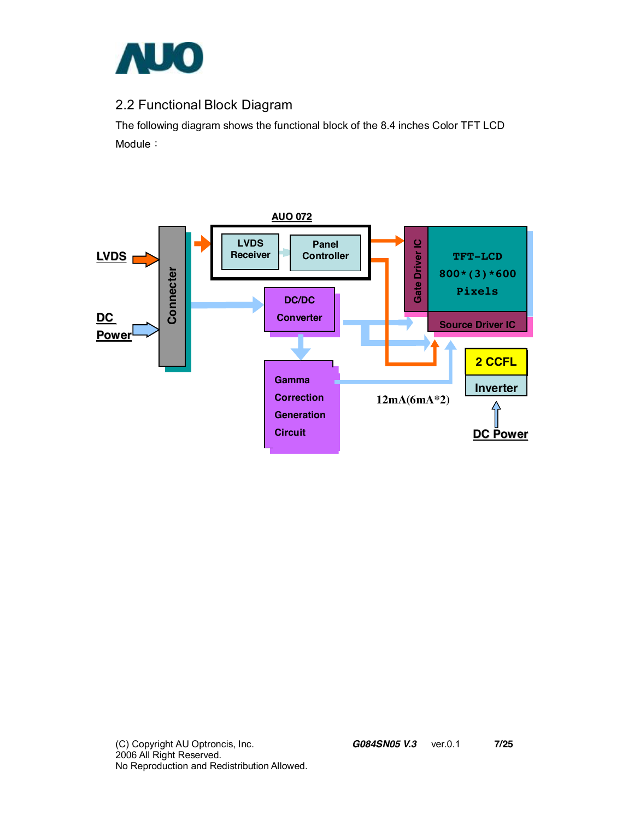

### 2.2 Functional Block Diagram

The following diagram shows the functional block of the 8.4 inches Color TFT LCD Module:

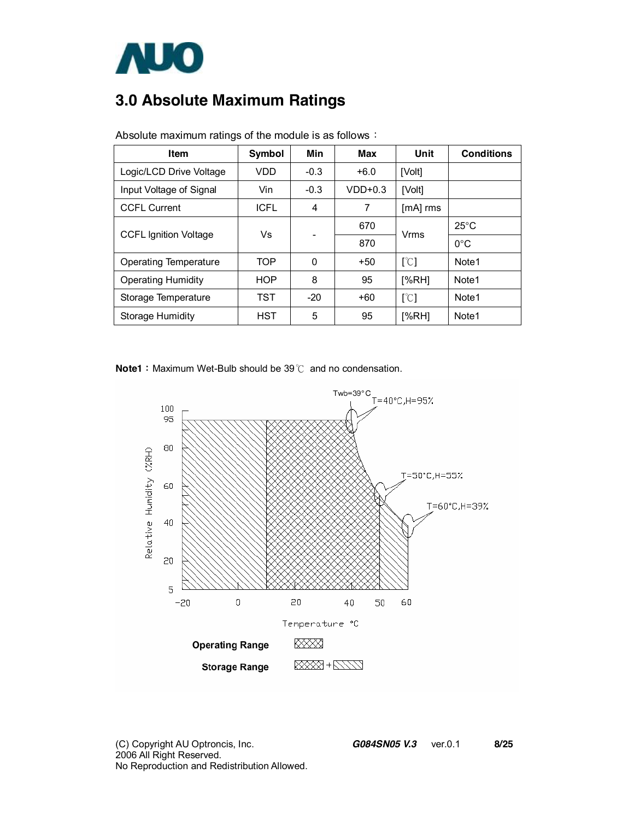

# **3.0 Absolute Maximum Ratings**

| <b>Item</b>                  | <b>Symbol</b> | Min    | Max       | Unit                      | <b>Conditions</b> |
|------------------------------|---------------|--------|-----------|---------------------------|-------------------|
| Logic/LCD Drive Voltage      | VDD           | $-0.3$ | $+6.0$    | [Volt]                    |                   |
| Input Voltage of Signal      | Vin           | $-0.3$ | $VDD+0.3$ | [Volt]                    |                   |
| <b>CCFL Current</b>          | <b>ICFL</b>   | 4      | 7         | $[mA]$ rms                |                   |
| <b>CCFL Ignition Voltage</b> | Vs            |        | 670       | Vrms                      | $25^{\circ}$ C    |
|                              |               |        | 870       |                           | $0^{\circ}$ C     |
| Operating Temperature        | <b>TOP</b>    | 0      | $+50$     | $\lceil \text{°C} \rceil$ | Note1             |
| <b>Operating Humidity</b>    | <b>HOP</b>    | 8      | 95        | [%RH]                     | Note <sub>1</sub> |
| Storage Temperature          | <b>TST</b>    | $-20$  | +60       | $\lceil \text{°C} \rceil$ | Note1             |
| Storage Humidity             | <b>HST</b>    | 5      | 95        | [%RH]                     | Note1             |

Absolute maximum ratings of the module is as follows:

**Note1**: Maximum Wet-Bulb should be 39℃ and no condensation.

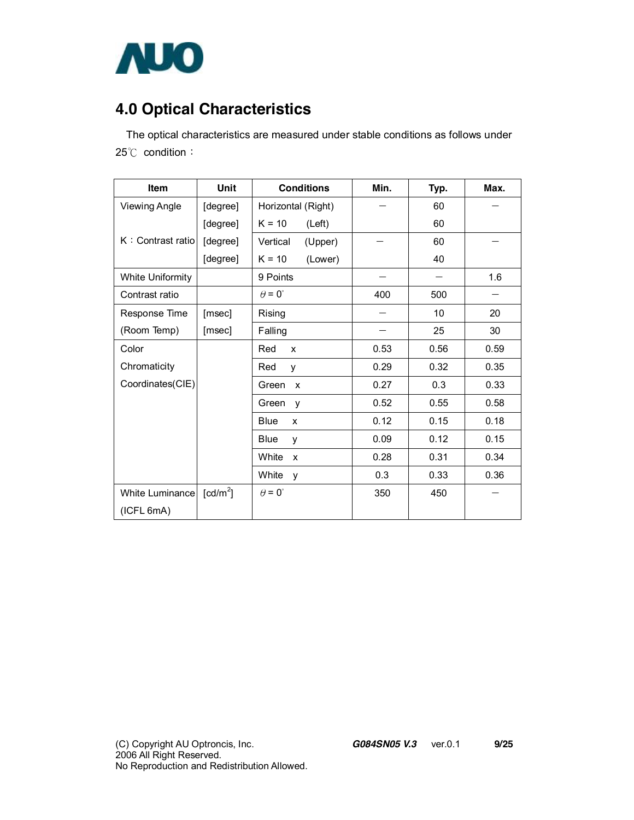

# **4.0 Optical Characteristics**

The optical characteristics are measured under stable conditions as follows under 25℃ condition:

| <b>Item</b>          | Unit                   | <b>Conditions</b>     | Min. | Typ. | Max. |
|----------------------|------------------------|-----------------------|------|------|------|
| <b>Viewing Angle</b> | [degree]               | Horizontal (Right)    |      | 60   |      |
|                      | [degree]               | $K = 10$<br>(Left)    |      | 60   |      |
| K: Contrast ratio    | [degree]               | Vertical<br>(Upper)   |      | 60   |      |
|                      | [degree]               | $K = 10$<br>(Lower)   |      | 40   |      |
| White Uniformity     |                        | 9 Points              |      |      | 1.6  |
| Contrast ratio       |                        | $\theta = 0^{\circ}$  | 400  | 500  |      |
| Response Time        | [msec]                 | Rising                |      | 10   | 20   |
| (Room Temp)          | [msec]                 | Falling               |      | 25   | 30   |
| Color                |                        | Red<br>X              | 0.53 | 0.56 | 0.59 |
| Chromaticity         |                        | Red<br>y              | 0.29 | 0.32 | 0.35 |
| Coordinates(CIE)     |                        | Green<br>$\mathsf{x}$ | 0.27 | 0.3  | 0.33 |
|                      |                        | Green<br>y            | 0.52 | 0.55 | 0.58 |
|                      |                        | <b>Blue</b><br>X      | 0.12 | 0.15 | 0.18 |
|                      |                        | Blue<br>v             | 0.09 | 0.12 | 0.15 |
|                      |                        | White<br>X            | 0.28 | 0.31 | 0.34 |
|                      |                        | White<br>y            | 0.3  | 0.33 | 0.36 |
| White Luminance      | $\lceil cd/m^2 \rceil$ | $\theta = 0^{\circ}$  | 350  | 450  |      |
| (ICFL 6mA)           |                        |                       |      |      |      |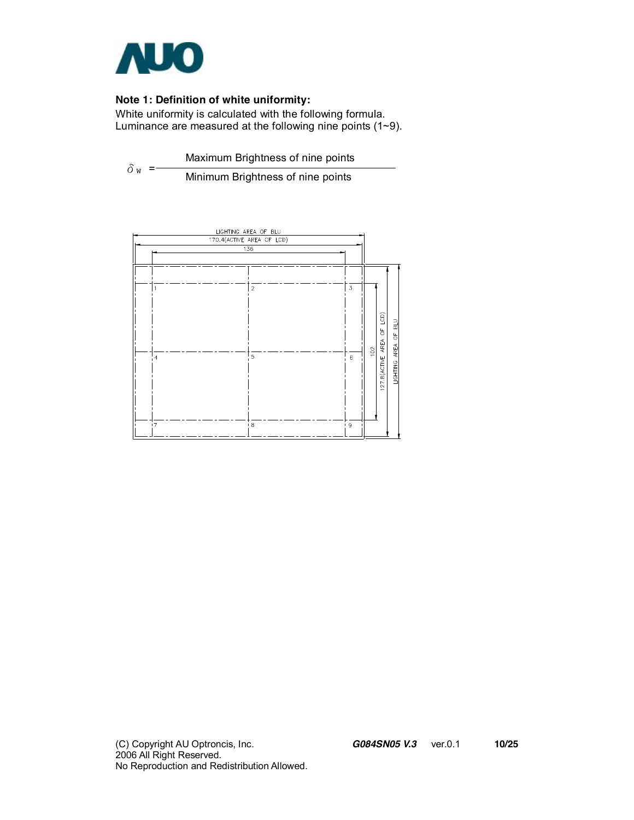

#### **Note 1: Definition of white uniformity:**

White uniformity is calculated with the following formula. Luminance are measured at the following nine points (1~9).

 $\delta$ <sub>W</sub> = Maximum Brightness of nine points

Minimum Brightness of nine points



(C) Copyright AU Optroncis, Inc.*G084SN05 V.3*ver.0.1 **10/25**  2006 All Right Reserved. No Reproduction and Redistribution Allowed.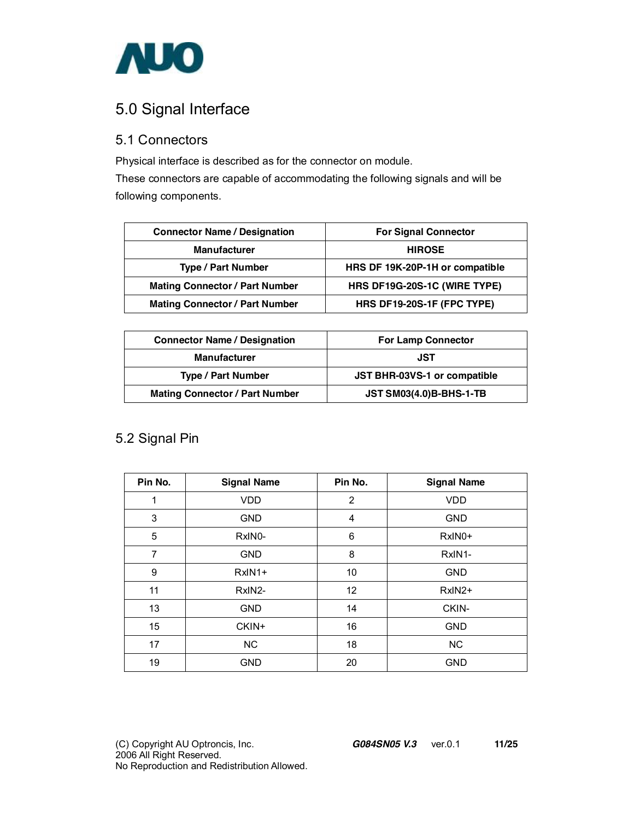

### 5.0 Signal Interface

#### 5.1 Connectors

Physical interface is described as for the connector on module.

These connectors are capable of accommodating the following signals and will be following components.

| <b>Connector Name / Designation</b>   | <b>For Signal Connector</b>     |
|---------------------------------------|---------------------------------|
| <b>Manufacturer</b>                   | <b>HIROSE</b>                   |
| <b>Type / Part Number</b>             | HRS DF 19K-20P-1H or compatible |
| <b>Mating Connector / Part Number</b> | HRS DF19G-20S-1C (WIRE TYPE)    |
| <b>Mating Connector / Part Number</b> | HRS DF19-20S-1F (FPC TYPE)      |

| <b>Connector Name / Designation</b>   | <b>For Lamp Connector</b>      |
|---------------------------------------|--------------------------------|
| <b>Manufacturer</b>                   | JST                            |
| <b>Type / Part Number</b>             | JST BHR-03VS-1 or compatible   |
| <b>Mating Connector / Part Number</b> | <b>JST SM03(4.0)B-BHS-1-TB</b> |

### 5.2 Signal Pin

| Pin No.        | <b>Signal Name</b> | Pin No.        | <b>Signal Name</b> |
|----------------|--------------------|----------------|--------------------|
| 1              | <b>VDD</b>         | $\overline{2}$ | <b>VDD</b>         |
| 3              | <b>GND</b>         | 4              | <b>GND</b>         |
| 5              | RxIN0-             | 6              | RxIN0+             |
| $\overline{7}$ | <b>GND</b>         | 8              | RxIN1-             |
| 9              | $RxIN1+$           | 10             | <b>GND</b>         |
| 11             | RxIN2-             | 12             | RxIN2+             |
| 13             | <b>GND</b>         | 14             | CKIN-              |
| 15             | CKIN+              | 16             | <b>GND</b>         |
| 17             | <b>NC</b>          | 18             | NC                 |
| 19             | <b>GND</b>         | 20             | <b>GND</b>         |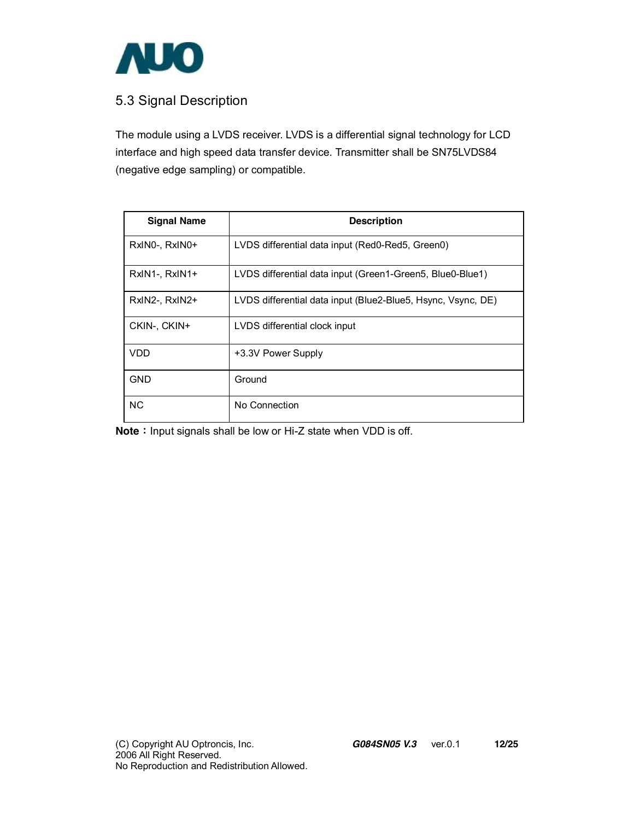

### 5.3 Signal Description

The module using a LVDS receiver. LVDS is a differential signal technology for LCD interface and high speed data transfer device. Transmitter shall be SN75LVDS84 (negative edge sampling) or compatible.

| <b>Signal Name</b> | <b>Description</b>                                           |
|--------------------|--------------------------------------------------------------|
| RxINO-, RxINO+     | LVDS differential data input (Red0-Red5, Green0)             |
| RxIN1-, RxIN1+     | LVDS differential data input (Green1-Green5, Blue0-Blue1)    |
| RxIN2-, RxIN2+     | LVDS differential data input (Blue2-Blue5, Hsync, Vsync, DE) |
| CKIN-, CKIN+       | LVDS differential clock input                                |
| VDD                | +3.3V Power Supply                                           |
| <b>GND</b>         | Ground                                                       |
| <b>NC</b>          | No Connection                                                |

**Note**: Input signals shall be low or Hi-Z state when VDD is off.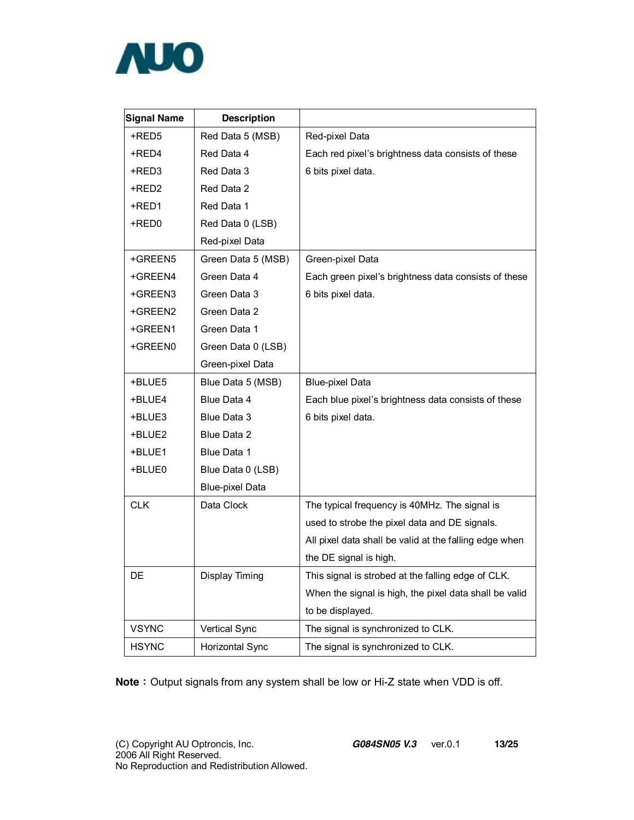

| <b>Signal Name</b> | <b>Description</b>     |                                                        |
|--------------------|------------------------|--------------------------------------------------------|
| +RED5              | Red Data 5 (MSB)       | Red-pixel Data                                         |
| +RED4              | Red Data 4             | Each red pixel's brightness data consists of these     |
| +RED3              | Red Data 3             | 6 bits pixel data.                                     |
| +RED2              | Red Data 2             |                                                        |
| +RED1              | Red Data 1             |                                                        |
| +RED0              | Red Data 0 (LSB)       |                                                        |
|                    | Red-pixel Data         |                                                        |
| +GREEN5            | Green Data 5 (MSB)     | Green-pixel Data                                       |
| +GREEN4            | Green Data 4           | Each green pixel's brightness data consists of these   |
| +GREEN3            | Green Data 3           | 6 bits pixel data.                                     |
| +GREEN2            | Green Data 2           |                                                        |
| +GREEN1            | Green Data 1           |                                                        |
| +GREEN0            | Green Data 0 (LSB)     |                                                        |
|                    | Green-pixel Data       |                                                        |
| +BLUE5             | Blue Data 5 (MSB)      | Blue-pixel Data                                        |
| +BLUE4             | Blue Data 4            | Each blue pixel's brightness data consists of these    |
| +BLUE3             | Blue Data 3            | 6 bits pixel data.                                     |
| +BLUE2             | Blue Data 2            |                                                        |
| +BLUE1             | Blue Data 1            |                                                        |
| +BLUE0             | Blue Data 0 (LSB)      |                                                        |
|                    | <b>Blue-pixel Data</b> |                                                        |
| <b>CLK</b>         | Data Clock             | The typical frequency is 40MHz. The signal is          |
|                    |                        | used to strobe the pixel data and DE signals.          |
|                    |                        | All pixel data shall be valid at the falling edge when |
|                    |                        | the DE signal is high.                                 |
| DE                 | Display Timing         | This signal is strobed at the falling edge of CLK.     |
|                    |                        | When the signal is high, the pixel data shall be valid |
|                    |                        | to be displayed.                                       |
| <b>VSYNC</b>       | Vertical Sync          | The signal is synchronized to CLK.                     |
| <b>HSYNC</b>       | Horizontal Sync        | The signal is synchronized to CLK.                     |

**Note**: Output signals from any system shall be low or Hi-Z state when VDD is off.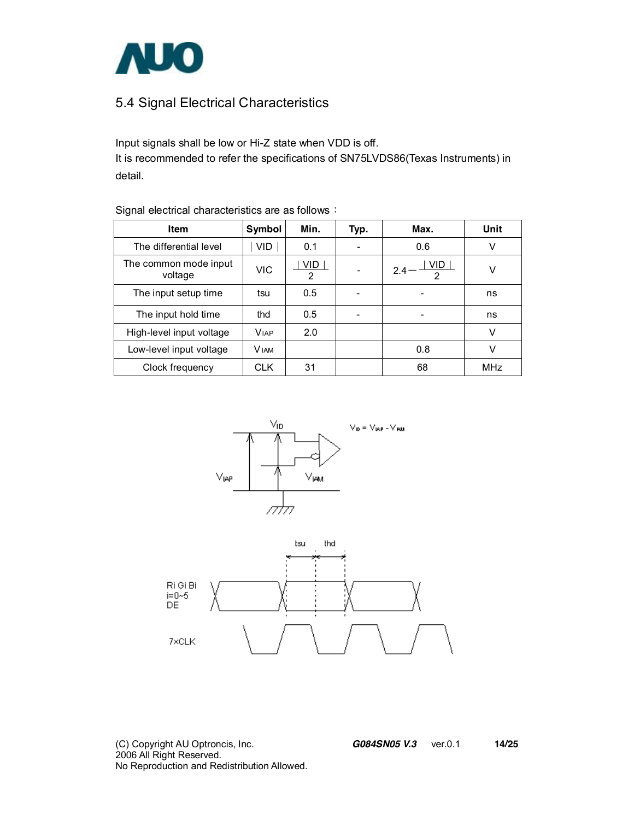

### 5.4 Signal Electrical Characteristics

Input signals shall be low or Hi-Z state when VDD is off. It is recommended to refer the specifications of SN75LVDS86(Texas Instruments) in detail.

| ີ                                |              |          |      |                               |            |
|----------------------------------|--------------|----------|------|-------------------------------|------------|
| Item                             | Symbol       | Min.     | Typ. | Max.                          | Unit       |
| The differential level           | VID.         | 0.1      |      | 0.6                           | V          |
| The common mode input<br>voltage | <b>VIC</b>   | VID<br>2 |      | VID.<br>2.4<br>$\overline{2}$ | v          |
| The input setup time             | tsu          | 0.5      |      | -                             | ns         |
| The input hold time              | thd          | 0.5      |      |                               | ns         |
| High-level input voltage         | <b>VIAP</b>  | 2.0      |      |                               | V          |
| Low-level input voltage          | <b>V</b> IAM |          |      | 0.8                           | v          |
| Clock frequency                  | <b>CLK</b>   | 31       |      | 68                            | <b>MHz</b> |

Signal electrical characteristics are as follows:





(C) Copyright AU Optroncis, Inc.*G084SN05 V.3*ver.0.1 **14/25**  2006 All Right Reserved. No Reproduction and Redistribution Allowed.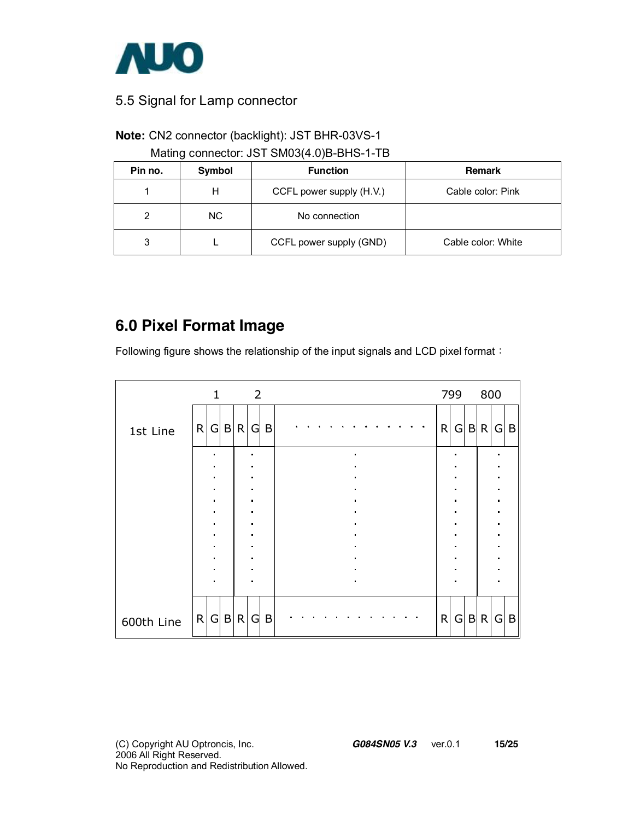

#### 5.5 Signal for Lamp connector

#### **Note:** CN2 connector (backlight): JST BHR-03VS-1

Mating connector: JST SM03(4.0)B-BHS-1-TB

| Pin no. | Symbol | <b>Function</b>          | Remark             |
|---------|--------|--------------------------|--------------------|
|         | н      | CCFL power supply (H.V.) | Cable color: Pink  |
| 2       | NC.    | No connection            |                    |
| 3       |        | CCFL power supply (GND)  | Cable color: White |

### **6.0 Pixel Format Image**

Following figure shows the relationship of the input signals and LCD pixel format:

|            |   | $\mathbf{1}$                     |   | $\overline{\phantom{0}}$ 2 |                        |   |  |  |                                  |  |  |              | 799            | 800   |                     |              |
|------------|---|----------------------------------|---|----------------------------|------------------------|---|--|--|----------------------------------|--|--|--------------|----------------|-------|---------------------|--------------|
| 1st Line   | R |                                  |   | G B R                      | G                      | B |  |  |                                  |  |  | $\mathsf{R}$ |                | G B R | G                   | B            |
|            |   | $\blacksquare$<br>$\blacksquare$ |   |                            | $\bullet$<br>$\bullet$ |   |  |  | $\blacksquare$<br>$\blacksquare$ |  |  |              |                |       | ×<br>$\blacksquare$ |              |
|            |   |                                  |   |                            |                        |   |  |  |                                  |  |  |              |                |       |                     |              |
|            |   | $\blacksquare$                   |   |                            | $\bullet$              |   |  |  | $\blacksquare$                   |  |  |              |                |       | $\blacksquare$      |              |
|            |   | $\blacksquare$                   |   |                            | $\blacksquare$         |   |  |  | $\blacksquare$                   |  |  |              | $\blacksquare$ |       | $\blacksquare$      |              |
|            |   | $\blacksquare$                   |   |                            | $\blacksquare$         |   |  |  | $\blacksquare$                   |  |  |              |                |       | $\blacksquare$      |              |
|            |   | $\blacksquare$                   |   |                            | $\bullet$              |   |  |  | $\blacksquare$                   |  |  |              |                |       | $\blacksquare$      |              |
|            |   |                                  |   |                            |                        |   |  |  | $\blacksquare$                   |  |  |              |                |       |                     |              |
|            |   | $\blacksquare$                   |   |                            |                        |   |  |  | $\blacksquare$                   |  |  |              |                |       | $\blacksquare$      |              |
|            |   | $\blacksquare$                   |   |                            | $\blacksquare$         |   |  |  | $\blacksquare$                   |  |  |              |                |       |                     |              |
|            |   |                                  |   |                            |                        |   |  |  | $\blacksquare$                   |  |  |              |                |       |                     |              |
|            |   |                                  |   |                            |                        |   |  |  |                                  |  |  |              |                |       |                     |              |
| 600th Line | R | G                                | B | $\mathsf{R}$               | G                      | B |  |  |                                  |  |  | $\mathsf{R}$ | G              | B R   | G                   | $\mathsf{B}$ |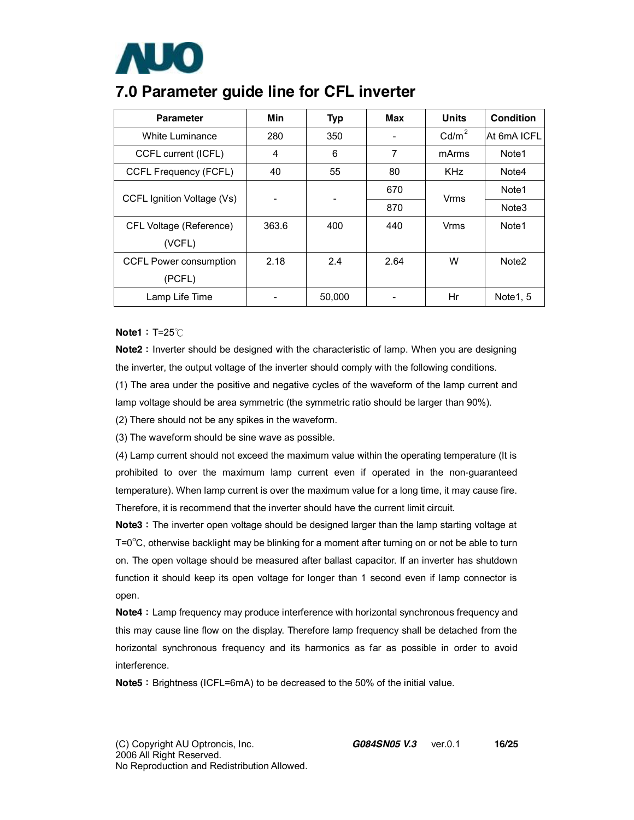

### **7.0 Parameter guide line for CFL inverter**

| <b>Parameter</b>           | Min   | <b>Typ</b> | Max  | <b>Units</b>            | Condition         |
|----------------------------|-------|------------|------|-------------------------|-------------------|
| White Luminance            | 280   | 350        |      | Cd/m <sup>2</sup>       | At 6mA ICFL       |
| CCFL current (ICFL)        | 4     | 6          | 7    | mArms                   | Note1             |
| CCFL Frequency (FCFL)      | 40    | 55         | 80   | <b>KHz</b>              | Note4             |
| CCFL Ignition Voltage (Vs) |       |            | 670  |                         | Note <sub>1</sub> |
|                            | -     | -          | 870  | Vrms<br>Vrms<br>W<br>Hr | Note <sub>3</sub> |
| CFL Voltage (Reference)    | 363.6 | 400        | 440  |                         | Note1             |
| (VCFL)                     |       |            |      |                         |                   |
| CCFL Power consumption     | 2.18  | 2.4        | 2.64 |                         | Note <sub>2</sub> |
| (PCFL)                     |       |            |      |                         |                   |
| Lamp Life Time             |       | 50,000     |      |                         | Note 1, 5         |

#### **Note1**: T=25℃

**Note2**: Inverter should be designed with the characteristic of lamp. When you are designing the inverter, the output voltage of the inverter should comply with the following conditions.

(1) The area under the positive and negative cycles of the waveform of the lamp current and lamp voltage should be area symmetric (the symmetric ratio should be larger than 90%).

(2) There should not be any spikes in the waveform.

(3) The waveform should be sine wave as possible.

(4) Lamp current should not exceed the maximum value within the operating temperature (It is prohibited to over the maximum lamp current even if operated in the non-guaranteed temperature). When lamp current is over the maximum value for a long time, it may cause fire. Therefore, it is recommend that the inverter should have the current limit circuit.

**Note3**: The inverter open voltage should be designed larger than the lamp starting voltage at  $T = 0^{\circ}$ C, otherwise backlight may be blinking for a moment after turning on or not be able to turn on. The open voltage should be measured after ballast capacitor. If an inverter has shutdown function it should keep its open voltage for longer than 1 second even if lamp connector is open.

**Note4**: Lamp frequency may produce interference with horizontal synchronous frequency and this may cause line flow on the display. Therefore lamp frequency shall be detached from the horizontal synchronous frequency and its harmonics as far as possible in order to avoid interference.

**Note5**: Brightness (ICFL=6mA) to be decreased to the 50% of the initial value.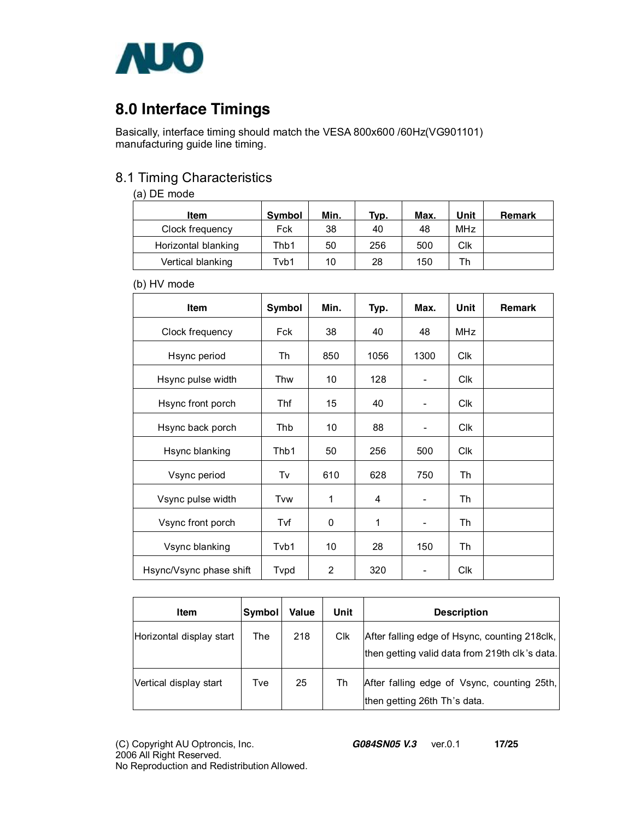

### **8.0 Interface Timings**

Basically, interface timing should match the VESA 800x600 /60Hz(VG901101) manufacturing guide line timing.

#### 8.1 Timing Characteristics

#### (a) DE mode

| Item                | <b>Symbol</b> | Min. | Typ. | Max. | Unit            | Remark |
|---------------------|---------------|------|------|------|-----------------|--------|
| Clock frequency     | Fck           | 38   | 40   | 48   | MH <sub>7</sub> |        |
| Horizontal blanking | Thb1          | 50   | 256  | 500  | Clk             |        |
| Vertical blanking   | Tvb1          | 10   | 28   | 150  | Th              |        |

#### (b) HV mode

| <b>Item</b>             | Symbol     | Min. | Typ. | Max.                         | Unit             | <b>Remark</b> |
|-------------------------|------------|------|------|------------------------------|------------------|---------------|
| Clock frequency         | <b>Fck</b> | 38   | 40   | 48                           | <b>MHz</b>       |               |
| Hsync period            | Th         | 850  | 1056 | 1300                         | <b>CIK</b>       |               |
| Hsync pulse width       | Thw        | 10   | 128  |                              | C <sub>I</sub> k |               |
| Hsync front porch       | Thf        | 15   | 40   |                              | <b>CIK</b>       |               |
| Hsync back porch        | Thb        | 10   | 88   |                              | <b>Clk</b>       |               |
| Hsync blanking          | Thb1       | 50   | 256  | 500                          | <b>CIK</b>       |               |
| Vsync period            | Tv         | 610  | 628  | 750                          | Th               |               |
| Vsync pulse width       | Tvw        | 1    | 4    | $\qquad \qquad \blacksquare$ | Th               |               |
| Vsync front porch       | Tvf        | 0    | 1    | $\qquad \qquad \blacksquare$ | Th               |               |
| Vsync blanking          | Tvb1       | 10   | 28   | 150                          | Th               |               |
| Hsync/Vsync phase shift | Typd       | 2    | 320  |                              | Clk              |               |

| <b>Item</b>              | Symbol | Value | Unit | <b>Description</b>                                                                              |
|--------------------------|--------|-------|------|-------------------------------------------------------------------------------------------------|
| Horizontal display start | The    | 218   | Clk  | After falling edge of Hsync, counting 218clk,<br>then getting valid data from 219th clk's data. |
| Vertical display start   | Tve    | 25    | Th   | After falling edge of Vsync, counting 25th,<br>then getting 26th Th's data.                     |

(C) Copyright AU Optroncis, Inc.*G084SN05 V.3*ver.0.1 **17/25**  2006 All Right Reserved. No Reproduction and Redistribution Allowed.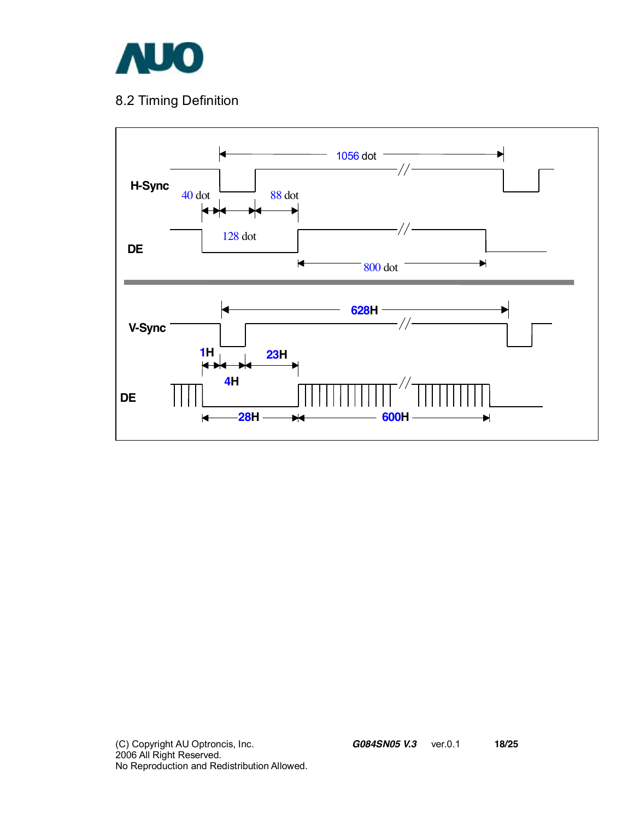

### 8.2 Timing Definition

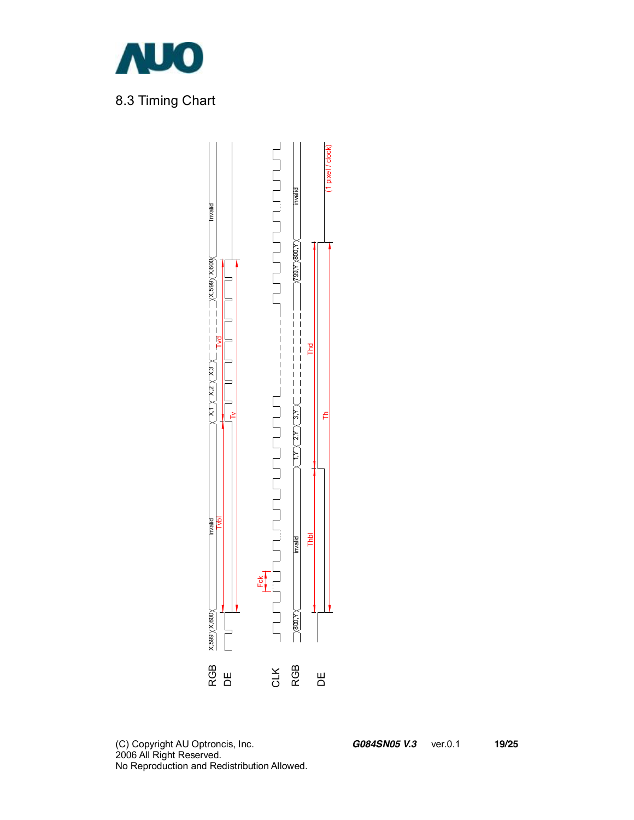

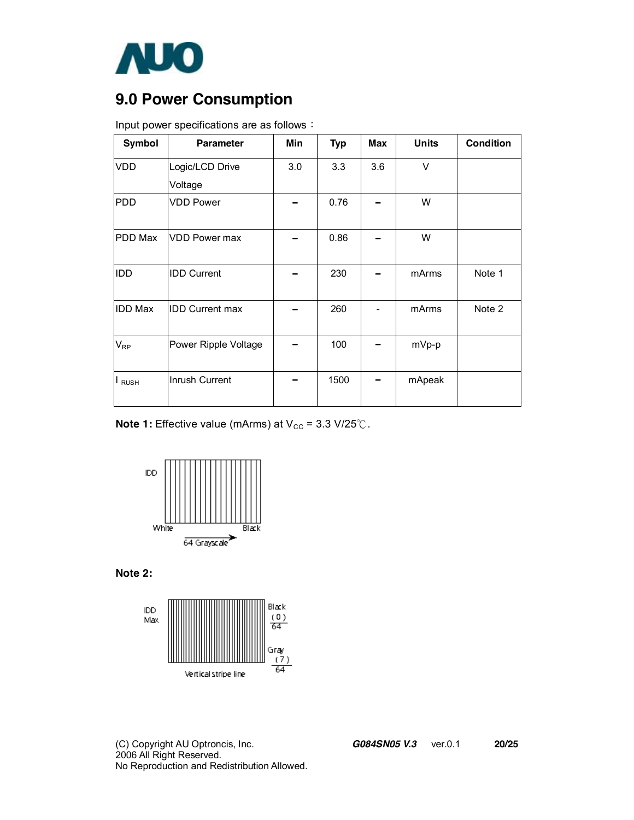

### **9.0 Power Consumption**

| Input power specifications are as follows: |  |
|--------------------------------------------|--|

| Symbol         | <b>Parameter</b>       | Min | <b>Typ</b> | <b>Max</b> | <b>Units</b> | <b>Condition</b> |
|----------------|------------------------|-----|------------|------------|--------------|------------------|
| <b>VDD</b>     | Logic/LCD Drive        | 3.0 | 3.3        | 3.6        | V            |                  |
|                | Voltage                |     |            |            |              |                  |
| <b>PDD</b>     | <b>VDD Power</b>       |     | 0.76       |            | W            |                  |
| <b>PDD Max</b> | <b>VDD Power max</b>   |     | 0.86       |            | W            |                  |
| IDD            | <b>IDD Current</b>     |     | 230        |            | mArms        | Note 1           |
| <b>IDD Max</b> | <b>IDD Current max</b> |     | 260        |            | mArms        | Note 2           |
| $V_{RP}$       | Power Ripple Voltage   |     | 100        |            | mVp-p        |                  |
| <b>RUSH</b>    | Inrush Current         |     | 1500       |            | mApeak       |                  |

**Note 1:** Effective value (mArms) at  $V_{CC}$  = 3.3 V/25 °C.



**Note 2:** 



(C) Copyright AU Optroncis, Inc.*G084SN05 V.3*ver.0.1 **20/25**  2006 All Right Reserved. No Reproduction and Redistribution Allowed.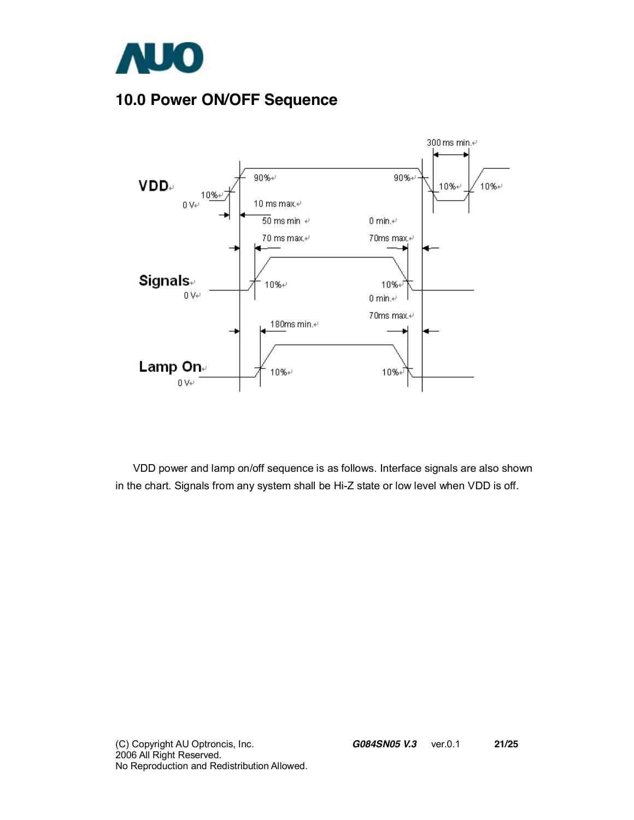

### **10.0 Power ON/OFF Sequence**



VDD power and lamp on/off sequence is as follows. Interface signals are also shown in the chart. Signals from any system shall be Hi-Z state or low level when VDD is off.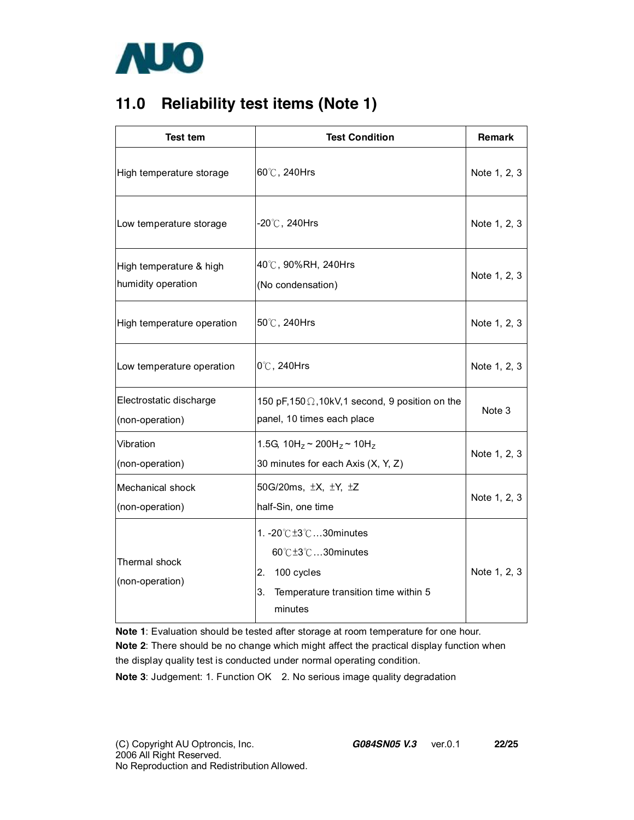

### **11.0 Reliability test items (Note 1)**

| <b>Test tem</b>                               | <b>Test Condition</b>                                                                                            | <b>Remark</b> |
|-----------------------------------------------|------------------------------------------------------------------------------------------------------------------|---------------|
| High temperature storage                      | 60°C, 240Hrs                                                                                                     | Note 1, 2, 3  |
| Low temperature storage                       | $-20^{\circ}$ C, 240Hrs                                                                                          | Note 1, 2, 3  |
| High temperature & high<br>humidity operation | 40℃, 90%RH, 240Hrs<br>(No condensation)                                                                          | Note 1, 2, 3  |
| High temperature operation                    | 50°C, 240Hrs                                                                                                     | Note 1, 2, 3  |
| Low temperature operation                     | 0°C, 240Hrs                                                                                                      | Note 1, 2, 3  |
| Electrostatic discharge<br>(non-operation)    | 150 pF,150 $\Omega$ ,10kV,1 second, 9 position on the<br>panel, 10 times each place                              | Note 3        |
| Vibration<br>(non-operation)                  | 1.5G, $10H_z \sim 200H_z \sim 10H_z$<br>30 minutes for each Axis (X, Y, Z)                                       | Note 1, 2, 3  |
| <b>Mechanical shock</b><br>(non-operation)    | 50G/20ms, $\pm X$ , $\pm Y$ , $\pm Z$<br>half-Sin, one time                                                      | Note 1, 2, 3  |
| Thermal shock<br>(non-operation)              | 1. -20℃±3℃30minutes<br>60℃±3℃30minutes<br>2. 100 cycles<br>3.<br>Temperature transition time within 5<br>minutes | Note 1, 2, 3  |

**Note 1**: Evaluation should be tested after storage at room temperature for one hour.

**Note 2**: There should be no change which might affect the practical display function when the display quality test is conducted under normal operating condition.

**Note 3**: Judgement: 1. Function OK 2. No serious image quality degradation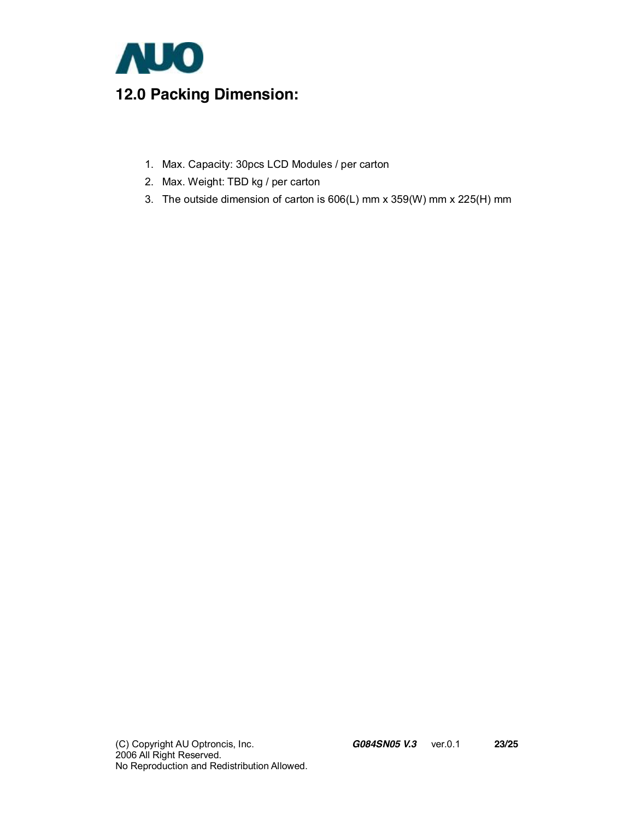

- 1. Max. Capacity: 30pcs LCD Modules / per carton
- 2. Max. Weight: TBD kg / per carton
- 3. The outside dimension of carton is 606(L) mm x 359(W) mm x 225(H) mm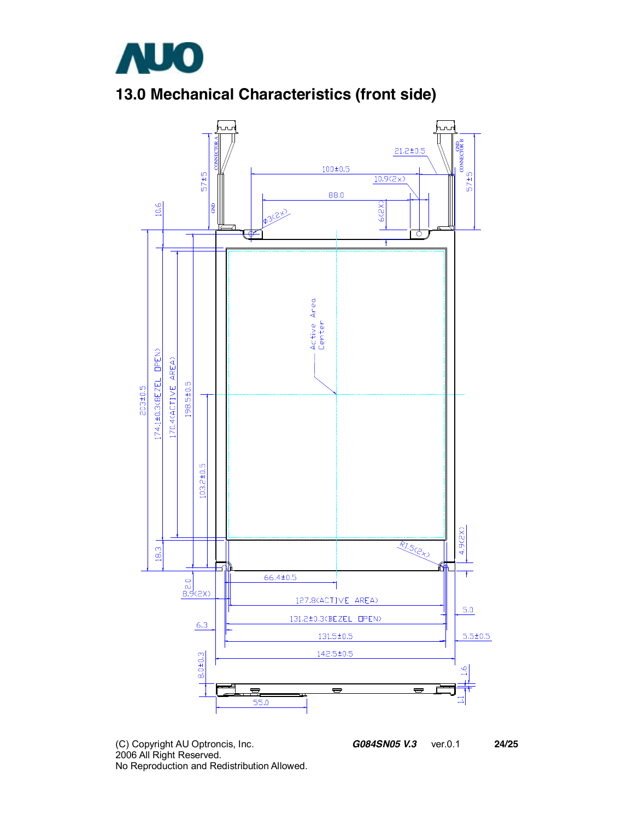

## **13.0 Mechanical Characteristics (front side)**



(C) Copyright AU Optroncis, Inc.*G084SN05 V.3*ver.0.1 **24/25**  2006 All Right Reserved. No Reproduction and Redistribution Allowed.